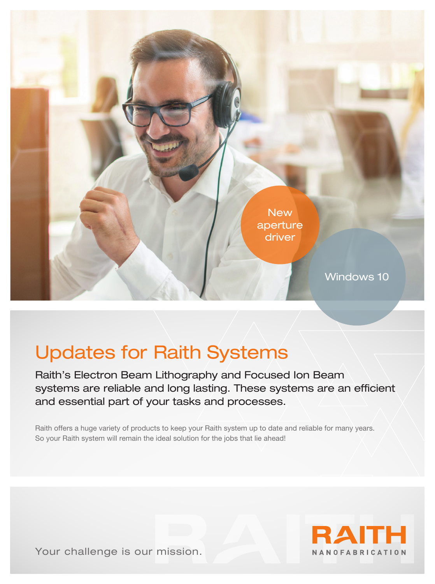

# Updates for Raith Systems

Raith's Electron Beam Lithography and Focused Ion Beam systems are reliable and long lasting. These systems are an efficient and essential part of your tasks and processes.

Raith offers a huge variety of products to keep your Raith system up to date and reliable for many years. So your Raith system will remain the ideal solution for the jobs that lie ahead!



Your challenge is our mission.